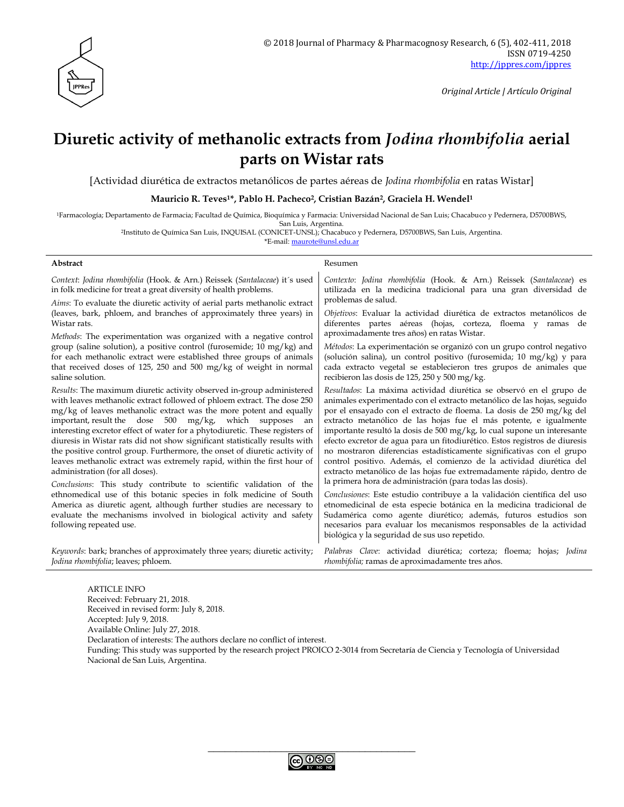

# **Diuretic activity of methanolic extracts from** *Jodina rhombifolia* **aerial parts on Wistar rats**

[Actividad diurética de extractos metanólicos de partes aéreas de *Jodina rhombifolia* en ratas Wistar]

**Mauricio R. Teves1\*, Pablo H. Pacheco2, Cristian Bazán2, Graciela H. Wendel<sup>1</sup>**

<sup>1</sup>Farmacología; Departamento de Farmacia; Facultad de Química, Bioquímica y Farmacia: Universidad Nacional de San Luis; Chacabuco y Pedernera, D5700BWS, San Luis, Argentina.

<sup>2</sup>Instituto de Química San Luis, INQUISAL (CONICET-UNSL); Chacabuco y Pedernera, D5700BWS, San Luis, Argentina.

\*E-mail: [maurote@unsl.edu.ar](mailto:maurote@unsl.edu.ar)

**Abstract** Resument Resument Resument Resument Resument Resument Resument Resument Resument Resument Resument Resument Resument Resument Resument Resument Resument Resument Resument Resument Resument Resument Resument Resu

| Context: Jodina rhombifolia (Hook. & Arn.) Reissek (Santalaceae) it's used   | Contexto: Jodina rhombifolia (Hook. & Arn.) Reissek (Santalaceae) es       |
|------------------------------------------------------------------------------|----------------------------------------------------------------------------|
| in folk medicine for treat a great diversity of health problems.             | utilizada en la medicina tradicional para una gran diversidad de           |
| Aims: To evaluate the diuretic activity of aerial parts methanolic extract   | problemas de salud.                                                        |
| (leaves, bark, phloem, and branches of approximately three years) in         | Objetivos: Evaluar la actividad diurética de extractos metanólicos de      |
| Wistar rats.                                                                 | diferentes partes aéreas (hojas, corteza, floema y ramas de                |
| Methods: The experimentation was organized with a negative control           | aproximadamente tres años) en ratas Wistar.                                |
| group (saline solution), a positive control (furosemide; 10 mg/kg) and       | Métodos: La experimentación se organizó con un grupo control negativo      |
| for each methanolic extract were established three groups of animals         | (solución salina), un control positivo (furosemida; 10 mg/kg) y para       |
| that received doses of 125, 250 and 500 mg/kg of weight in normal            | cada extracto vegetal se establecieron tres grupos de animales que         |
| saline solution.                                                             | recibieron las dosis de 125, 250 y 500 mg/kg.                              |
| Results: The maximum diuretic activity observed in-group administered        | Resultados: La máxima actividad diurética se observó en el grupo de        |
| with leaves methanolic extract followed of phloem extract. The dose 250      | animales experimentado con el extracto metanólico de las hojas, seguido    |
| mg/kg of leaves methanolic extract was the more potent and equally           | por el ensayado con el extracto de floema. La dosis de 250 mg/kg del       |
| important, result the dose 500 mg/kg, which supposes                         | extracto metanólico de las hojas fue el más potente, e igualmente          |
| an                                                                           | importante resultó la dosis de 500 mg/kg, lo cual supone un interesante    |
| interesting excretor effect of water for a phytodiuretic. These registers of | efecto excretor de agua para un fitodiurético. Estos registros de diuresis |
| diuresis in Wistar rats did not show significant statistically results with  | no mostraron diferencias estadísticamente significativas con el grupo      |
| the positive control group. Furthermore, the onset of diuretic activity of   | control positivo. Además, el comienzo de la actividad diurética del        |
| leaves methanolic extract was extremely rapid, within the first hour of      | extracto metanólico de las hojas fue extremadamente rápido, dentro de      |
| administration (for all doses).                                              | la primera hora de administración (para todas las dosis).                  |
| Conclusions: This study contribute to scientific validation of the           | Conclusiones: Este estudio contribuye a la validación científica del uso   |
| ethnomedical use of this botanic species in folk medicine of South           | etnomedicinal de esta especie botánica en la medicina tradicional de       |
| America as diuretic agent, although further studies are necessary to         | Sudamérica como agente diurético; además, futuros estudios son             |
| evaluate the mechanisms involved in biological activity and safety           | necesarios para evaluar los mecanismos responsables de la actividad        |
| following repeated use.                                                      | biológica y la seguridad de sus uso repetido.                              |
| Keywords: bark; branches of approximately three years; diuretic activity;    | Palabras Clave: actividad diurética; corteza; floema; hojas; Jodina        |
| Jodina rhombifolia; leaves; phloem.                                          | <i>rhombifolia</i> ; ramas de aproximadamente tres años.                   |

ARTICLE INFO Received: February 21, 2018. Received in revised form: July 8, 2018. Accepted: July 9, 2018. Available Online: July 27, 2018. Declaration of interests: The authors declare no conflict of interest. Funding: This study was supported by the research project PROICO 2-3014 from Secretaría de Ciencia y Tecnología of Universidad Nacional de San Luis, Argentina.

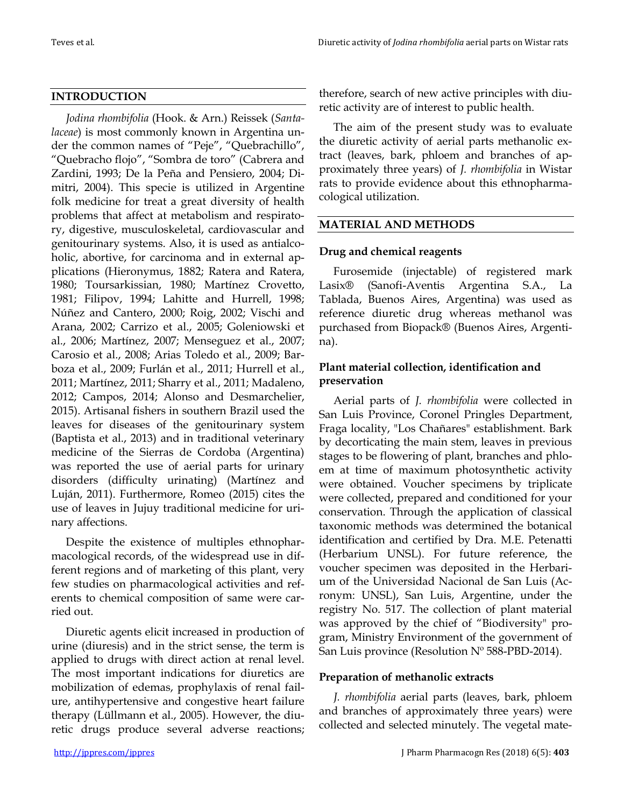# **INTRODUCTION**

*Jodina rhombifolia* (Hook. & Arn.) Reissek (*Santalaceae*) is most commonly known in Argentina under the common names of "Peje", "Quebrachillo", "Quebracho flojo", "Sombra de toro" (Cabrera and Zardini, 1993; De la Peña and Pensiero, 2004; Dimitri, 2004). This specie is utilized in Argentine folk medicine for treat a great diversity of health problems that affect at metabolism and respiratory, digestive, musculoskeletal, cardiovascular and genitourinary systems. Also, it is used as antialcoholic, abortive, for carcinoma and in external applications (Hieronymus, 1882; Ratera and Ratera, 1980; Toursarkissian, 1980; Martínez Crovetto, 1981; Filipov, 1994; Lahitte and Hurrell, 1998; Núñez and Cantero, 2000; Roig, 2002; Vischi and Arana, 2002; Carrizo et al., 2005; Goleniowski et al., 2006; Martínez, 2007; Menseguez et al., 2007; Carosio et al., 2008; Arias Toledo et al., 2009; Barboza et al., 2009; Furlán et al., 2011; Hurrell et al., 2011; Martínez, 2011; Sharry et al., 2011; Madaleno, 2012; Campos, 2014; Alonso and Desmarchelier, 2015). Artisanal fishers in southern Brazil used the leaves for diseases of the genitourinary system (Baptista et al., 2013) and in traditional veterinary medicine of the Sierras de Cordoba (Argentina) was reported the use of aerial parts for urinary disorders (difficulty urinating) (Martínez and Luján, 2011). Furthermore, Romeo (2015) cites the use of leaves in Jujuy traditional medicine for urinary affections.

Despite the existence of multiples ethnopharmacological records, of the widespread use in different regions and of marketing of this plant, very few studies on pharmacological activities and referents to chemical composition of same were carried out.

Diuretic agents elicit increased in production of urine (diuresis) and in the strict sense, the term is applied to drugs with direct action at renal level. The most important indications for diuretics are mobilization of edemas, prophylaxis of renal failure, antihypertensive and congestive heart failure therapy (Lüllmann et al., 2005). However, the diuretic drugs produce several adverse reactions;

therefore, search of new active principles with diuretic activity are of interest to public health.

The aim of the present study was to evaluate the diuretic activity of aerial parts methanolic extract (leaves, bark, phloem and branches of approximately three years) of *J. rhombifolia* in Wistar rats to provide evidence about this ethnopharmacological utilization.

# **MATERIAL AND METHODS**

# **Drug and chemical reagents**

Furosemide (injectable) of registered mark Lasix® (Sanofi-Aventis Argentina S.A., La Tablada, Buenos Aires, Argentina) was used as reference diuretic drug whereas methanol was purchased from Biopack® (Buenos Aires, Argentina).

# **Plant material collection, identification and preservation**

Aerial parts of *J. rhombifolia* were collected in San Luis Province, Coronel Pringles Department, Fraga locality, "Los Chañares" establishment. Bark by decorticating the main stem, leaves in previous stages to be flowering of plant, branches and phloem at time of maximum photosynthetic activity were obtained. Voucher specimens by triplicate were collected, prepared and conditioned for your conservation. Through the application of classical taxonomic methods was determined the botanical identification and certified by Dra. M.E. Petenatti (Herbarium UNSL). For future reference, the voucher specimen was deposited in the Herbarium of the Universidad Nacional de San Luis (Acronym: UNSL), San Luis, Argentine, under the registry No. 517. The collection of plant material was approved by the chief of "Biodiversity" program, Ministry Environment of the government of San Luis province (Resolution Nº 588-PBD-2014).

# **Preparation of methanolic extracts**

*J. rhombifolia* aerial parts (leaves, bark, phloem and branches of approximately three years) were collected and selected minutely. The vegetal mate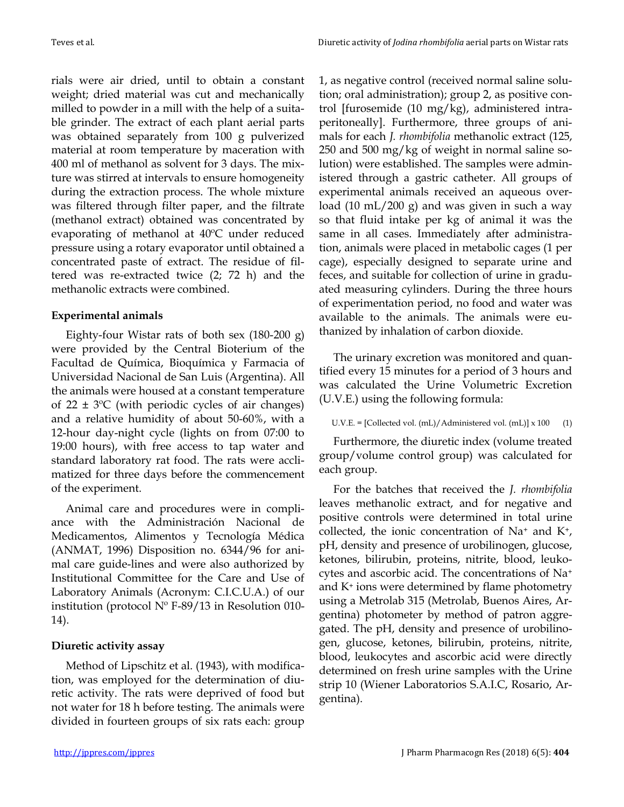rials were air dried, until to obtain a constant weight; dried material was cut and mechanically milled to powder in a mill with the help of a suitable grinder. The extract of each plant aerial parts was obtained separately from 100 g pulverized material at room temperature by maceration with 400 ml of methanol as solvent for 3 days. The mixture was stirred at intervals to ensure homogeneity during the extraction process. The whole mixture was filtered through filter paper, and the filtrate (methanol extract) obtained was concentrated by evaporating of methanol at 40ºC under reduced pressure using a rotary evaporator until obtained a concentrated paste of extract. The residue of filtered was re-extracted twice (2; 72 h) and the methanolic extracts were combined.

#### **Experimental animals**

Eighty-four Wistar rats of both sex (180-200 g) were provided by the Central Bioterium of the Facultad de Química, Bioquímica y Farmacia of Universidad Nacional de San Luis (Argentina). All the animals were housed at a constant temperature of  $22 \pm 3$ °C (with periodic cycles of air changes) and a relative humidity of about 50-60%, with a 12-hour day-night cycle (lights on from 07:00 to 19:00 hours), with free access to tap water and standard laboratory rat food. The rats were acclimatized for three days before the commencement of the experiment.

Animal care and procedures were in compliance with the Administración Nacional de Medicamentos, Alimentos y Tecnología Médica (ANMAT, 1996) Disposition no. 6344/96 for animal care guide-lines and were also authorized by Institutional Committee for the Care and Use of Laboratory Animals (Acronym: C.I.C.U.A.) of our institution (protocol  $N^{\circ}$  F-89/13 in Resolution 010-14).

#### **Diuretic activity assay**

Method of Lipschitz et al. (1943), with modification, was employed for the determination of diuretic activity. The rats were deprived of food but not water for 18 h before testing. The animals were divided in fourteen groups of six rats each: group 1, as negative control (received normal saline solution; oral administration); group 2, as positive control [furosemide (10 mg/kg), administered intraperitoneally]. Furthermore, three groups of animals for each *J. rhombifolia* methanolic extract (125, 250 and 500 mg/kg of weight in normal saline solution) were established. The samples were administered through a gastric catheter. All groups of experimental animals received an aqueous overload (10 mL/200 g) and was given in such a way so that fluid intake per kg of animal it was the same in all cases. Immediately after administration, animals were placed in metabolic cages (1 per cage), especially designed to separate urine and feces, and suitable for collection of urine in graduated measuring cylinders. During the three hours of experimentation period, no food and water was available to the animals. The animals were euthanized by inhalation of carbon dioxide.

The urinary excretion was monitored and quantified every 15 minutes for a period of 3 hours and was calculated the Urine Volumetric Excretion (U.V.E.) using the following formula:

#### U.V.E. = [Collected vol. (mL)/Administered vol. (mL)] x 100 (1)

Furthermore, the diuretic index (volume treated group/volume control group) was calculated for each group.

For the batches that received the *J. rhombifolia* leaves methanolic extract, and for negative and positive controls were determined in total urine collected, the ionic concentration of  $Na^+$  and  $K^+$ , pH, density and presence of urobilinogen, glucose, ketones, bilirubin, proteins, nitrite, blood, leukocytes and ascorbic acid. The concentrations of Na<sup>+</sup> and K<sup>+</sup> ions were determined by flame photometry using a Metrolab 315 (Metrolab, Buenos Aires, Argentina) photometer by method of patron aggregated. The pH, density and presence of urobilinogen, glucose, ketones, bilirubin, proteins, nitrite, blood, leukocytes and ascorbic acid were directly determined on fresh urine samples with the Urine strip 10 (Wiener Laboratorios S.A.I.C, Rosario, Argentina).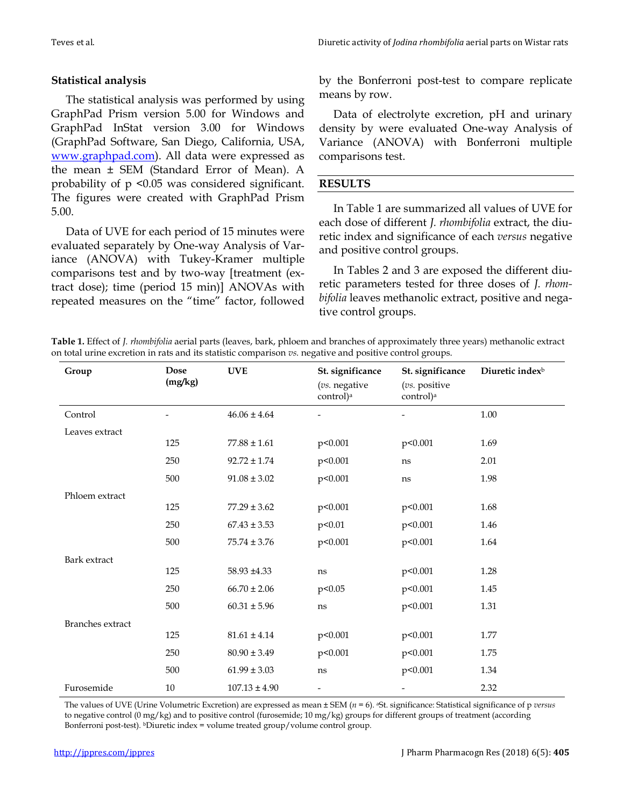#### **Statistical analysis**

The statistical analysis was performed by using GraphPad Prism version 5.00 for Windows and GraphPad InStat version 3.00 for Windows (GraphPad Software, San Diego, California, USA, [www.graphpad.com\)](http://www.graphpad.com/). All data were expressed as the mean ± SEM (Standard Error of Mean). A probability of p <0.05 was considered significant. The figures were created with GraphPad Prism 5.00.

Data of UVE for each period of 15 minutes were evaluated separately by One-way Analysis of Variance (ANOVA) with Tukey-Kramer multiple comparisons test and by two-way [treatment (extract dose); time (period 15 min)] ANOVAs with repeated measures on the "time" factor, followed

by the Bonferroni post-test to compare replicate means by row.

Data of electrolyte excretion, pH and urinary density by were evaluated One-way Analysis of Variance (ANOVA) with Bonferroni multiple comparisons test.

#### **RESULTS**

In Table 1 are summarized all values of UVE for each dose of different *J. rhombifolia* extract, the diuretic index and significance of each *versus* negative and positive control groups.

In Tables 2 and 3 are exposed the different diuretic parameters tested for three doses of *J. rhombifolia* leaves methanolic extract, positive and negative control groups.

**Table 1.** Effect of *J. rhombifolia* aerial parts (leaves, bark, phloem and branches of approximately three years) methanolic extract on total urine excretion in rats and its statistic comparison *vs.* negative and positive control groups.

| Group                   | <b>Dose</b> | <b>UVE</b>        | St. significance                       | St. significance                       | Diuretic index <sup>b</sup> |
|-------------------------|-------------|-------------------|----------------------------------------|----------------------------------------|-----------------------------|
|                         | (mg/kg)     |                   | (vs. negative<br>control) <sup>a</sup> | (vs. positive<br>control) <sup>a</sup> |                             |
| Control                 |             | $46.06 \pm 4.64$  |                                        |                                        | 1.00                        |
| Leaves extract          |             |                   |                                        |                                        |                             |
|                         | 125         | $77.88 \pm 1.61$  | p<0.001                                | p<0.001                                | 1.69                        |
|                         | 250         | $92.72 \pm 1.74$  | p<0.001                                | ns                                     | 2.01                        |
|                         | 500         | $91.08 \pm 3.02$  | p<0.001                                | ns                                     | 1.98                        |
| Phloem extract          |             |                   |                                        |                                        |                             |
|                         | 125         | $77.29 \pm 3.62$  | p<0.001                                | p<0.001                                | 1.68                        |
|                         | 250         | $67.43 \pm 3.53$  | p<0.01                                 | p<0.001                                | 1.46                        |
|                         | 500         | $75.74 \pm 3.76$  | p<0.001                                | p<0.001                                | 1.64                        |
| Bark extract            |             |                   |                                        |                                        |                             |
|                         | 125         | 58.93 ±4.33       | ns                                     | p<0.001                                | 1.28                        |
|                         | 250         | $66.70 \pm 2.06$  | p<0.05                                 | p<0.001                                | 1.45                        |
|                         | 500         | $60.31 \pm 5.96$  | ns                                     | p<0.001                                | 1.31                        |
| <b>Branches</b> extract |             |                   |                                        |                                        |                             |
|                         | 125         | $81.61 \pm 4.14$  | p<0.001                                | p<0.001                                | 1.77                        |
|                         | 250         | $80.90 \pm 3.49$  | p<0.001                                | p<0.001                                | 1.75                        |
|                         | 500         | $61.99 \pm 3.03$  | ns                                     | p<0.001                                | 1.34                        |
| Furosemide              | 10          | $107.13 \pm 4.90$ | $\overline{\phantom{0}}$               |                                        | 2.32                        |

The values of UVE (Urine Volumetric Excretion) are expressed as mean ± SEM (*n* = 6). <sup>a</sup>St. significance: Statistical significance of p *versus* to negative control  $(0 \text{ mg/kg})$  and to positive control (furosemide; 10 mg/kg) groups for different groups of treatment (according Bonferroni post-test). <sup>b</sup>Diuretic index = volume treated group/volume control group.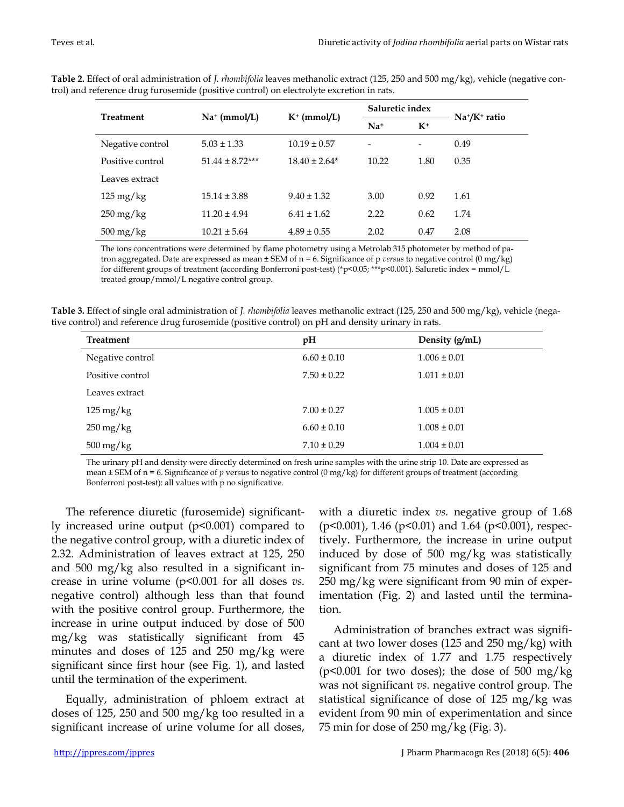| $\checkmark$           |                     |                   |                          |                          |                                       |
|------------------------|---------------------|-------------------|--------------------------|--------------------------|---------------------------------------|
| Treatment              |                     |                   | Saluretic index          |                          | Na <sup>+</sup> /K <sup>+</sup> ratio |
|                        | $Na^+$ (mmol/L)     | $K^+$ (mmol/L)    | $Na+$                    | $K^+$                    |                                       |
| Negative control       | $5.03 \pm 1.33$     | $10.19 \pm 0.57$  | $\overline{\phantom{a}}$ | $\overline{\phantom{a}}$ | 0.49                                  |
| Positive control       | $51.44 \pm 8.72***$ | $18.40 \pm 2.64*$ | 10.22                    | 1.80                     | 0.35                                  |
| Leaves extract         |                     |                   |                          |                          |                                       |
| $125 \,\mathrm{mg/kg}$ | $15.14 \pm 3.88$    | $9.40 \pm 1.32$   | 3.00                     | 0.92                     | 1.61                                  |
| $250 \,\mathrm{mg/kg}$ | $11.20 \pm 4.94$    | $6.41 \pm 1.62$   | 2.22                     | 0.62                     | 1.74                                  |
| $500 \,\mathrm{mg/kg}$ | $10.21 \pm 5.64$    | $4.89 \pm 0.55$   | 2.02                     | 0.47                     | 2.08                                  |

**Table 2.** Effect of oral administration of *J. rhombifolia* leaves methanolic extract (125, 250 and 500 mg/kg), vehicle (negative control) and reference drug furosemide (positive control) on electrolyte excretion in rats.

The ions concentrations were determined by flame photometry using a Metrolab 315 photometer by method of patron aggregated. Date are expressed as mean ± SEM of n = 6. Significance of p *versus* to negative control (0 mg/kg) for different groups of treatment (according Bonferroni post-test) (\*p<0.05; \*\*\*p<0.001). Saluretic index = mmol/L treated group/mmol/L negative control group.

**Table 3.** Effect of single oral administration of *J. rhombifolia* leaves methanolic extract (125, 250 and 500 mg/kg), vehicle (negative control) and reference drug furosemide (positive control) on pH and density urinary in rats.

| <b>Treatment</b>       | pH              | Density (g/mL)   |
|------------------------|-----------------|------------------|
| Negative control       | $6.60 \pm 0.10$ | $1.006 \pm 0.01$ |
| Positive control       | $7.50 \pm 0.22$ | $1.011 \pm 0.01$ |
| Leaves extract         |                 |                  |
| $125 \text{ mg/kg}$    | $7.00 \pm 0.27$ | $1.005 \pm 0.01$ |
| $250 \,\mathrm{mg/kg}$ | $6.60 \pm 0.10$ | $1.008 \pm 0.01$ |
| $500 \,\mathrm{mg/kg}$ | $7.10 \pm 0.29$ | $1.004 \pm 0.01$ |

The urinary pH and density were directly determined on fresh urine samples with the urine strip 10. Date are expressed as mean  $\pm$  SEM of n = 6. Significance of *p* versus to negative control (0 mg/kg) for different groups of treatment (according Bonferroni post-test): all values with p no significative.

The reference diuretic (furosemide) significantly increased urine output (p<0.001) compared to the negative control group, with a diuretic index of 2.32. Administration of leaves extract at 125, 250 and 500 mg/kg also resulted in a significant increase in urine volume (p<0.001 for all doses *vs.* negative control) although less than that found with the positive control group. Furthermore, the increase in urine output induced by dose of 500 mg/kg was statistically significant from 45 minutes and doses of 125 and 250 mg/kg were significant since first hour (see Fig. 1), and lasted until the termination of the experiment.

Equally, administration of phloem extract at doses of 125, 250 and 500 mg/kg too resulted in a significant increase of urine volume for all doses,

with a diuretic index *vs.* negative group of 1.68 (p<0.001), 1.46 (p<0.01) and 1.64 (p<0.001), respectively. Furthermore, the increase in urine output induced by dose of 500 mg/kg was statistically significant from 75 minutes and doses of 125 and 250 mg/kg were significant from 90 min of experimentation (Fig. 2) and lasted until the termination.

Administration of branches extract was significant at two lower doses (125 and 250 mg/kg) with a diuretic index of 1.77 and 1.75 respectively ( $p$ <0.001 for two doses); the dose of 500 mg/kg was not significant *vs.* negative control group. The statistical significance of dose of 125 mg/kg was evident from 90 min of experimentation and since 75 min for dose of 250 mg/kg (Fig. 3).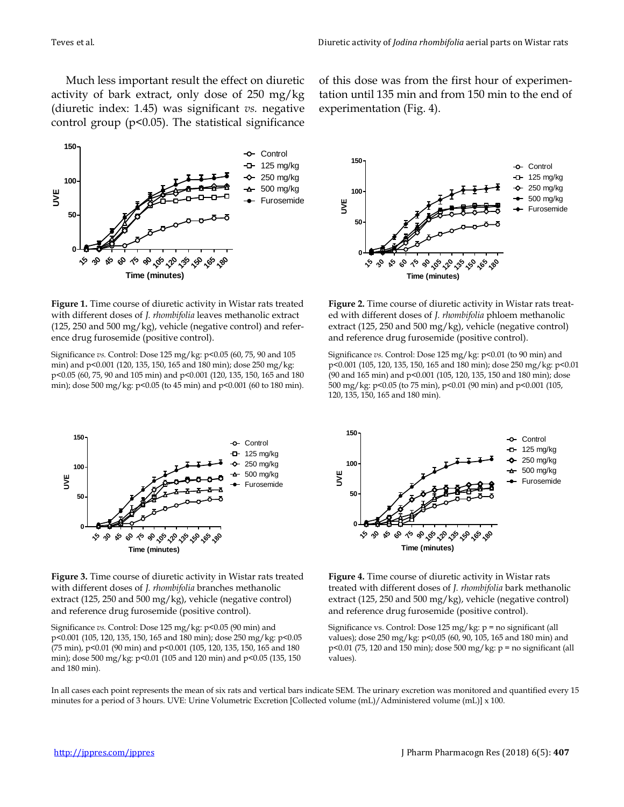Much less important result the effect on diuretic activity of bark extract, only dose of 250 mg/kg (diuretic index: 1.45) was significant *vs.* negative control group ( $p$ <0.05). The statistical significance



**Figure 1.** Time course of diuretic activity in Wistar rats treated with different doses of *J. rhombifolia* leaves methanolic extract (125, 250 and 500 mg/kg), vehicle (negative control) and reference drug furosemide (positive control).

Significance *vs.* Control: Dose 125 mg/kg: p<0.05 (60, 75, 90 and 105 min) and p<0.001 (120, 135, 150, 165 and 180 min); dose 250 mg/kg: p<0.05 (60, 75, 90 and 105 min) and p<0.001 (120, 135, 150, 165 and 180 min); dose 500 mg/kg: p<0.05 (to 45 min) and p<0.001 (60 to 180 min).



**Figure 3.** Time course of diuretic activity in Wistar rats treated with different doses of *J. rhombifolia* branches methanolic extract (125, 250 and 500 mg/kg), vehicle (negative control) and reference drug furosemide (positive control).

Significance *vs.* Control: Dose 125 mg/kg: p<0.05 (90 min) and p<0.001 (105, 120, 135, 150, 165 and 180 min); dose 250 mg/kg: p<0.05 (75 min), p<0.01 (90 min) and p<0.001 (105, 120, 135, 150, 165 and 180 min); dose 500 mg/kg: p<0.01 (105 and 120 min) and p<0.05 (135, 150 and 180 min).

of this dose was from the first hour of experimentation until 135 min and from 150 min to the end of experimentation (Fig. 4).



**Figure 2.** Time course of diuretic activity in Wistar rats treated with different doses of *J. rhombifolia* phloem methanolic extract (125, 250 and 500 mg/kg), vehicle (negative control) and reference drug furosemide (positive control).

Significance *vs.* Control: Dose 125 mg/kg: p<0.01 (to 90 min) and p<0.001 (105, 120, 135, 150, 165 and 180 min); dose 250 mg/kg: p<0.01 (90 and 165 min) and p<0.001 (105, 120, 135, 150 and 180 min); dose 500 mg/kg: p<0.05 (to 75 min), p<0.01 (90 min) and p<0.001 (105, 120, 135, 150, 165 and 180 min).



**Figure 4.** Time course of diuretic activity in Wistar rats treated with different doses of *J. rhombifolia* bark methanolic extract (125, 250 and 500 mg/kg), vehicle (negative control) and reference drug furosemide (positive control).

Significance vs. Control: Dose 125 mg/kg: p = no significant (all values); dose 250 mg/kg: p<0,05 (60, 90, 105, 165 and 180 min) and  $p<0.01$  (75, 120 and 150 min); dose 500 mg/kg:  $p =$  no significant (all values).

In all cases each point represents the mean of six rats and vertical bars indicate SEM. The urinary excretion was monitored and quantified every 15 minutes for a period of 3 hours. UVE: Urine Volumetric Excretion [Collected volume (mL)/Administered volume (mL)] x 100.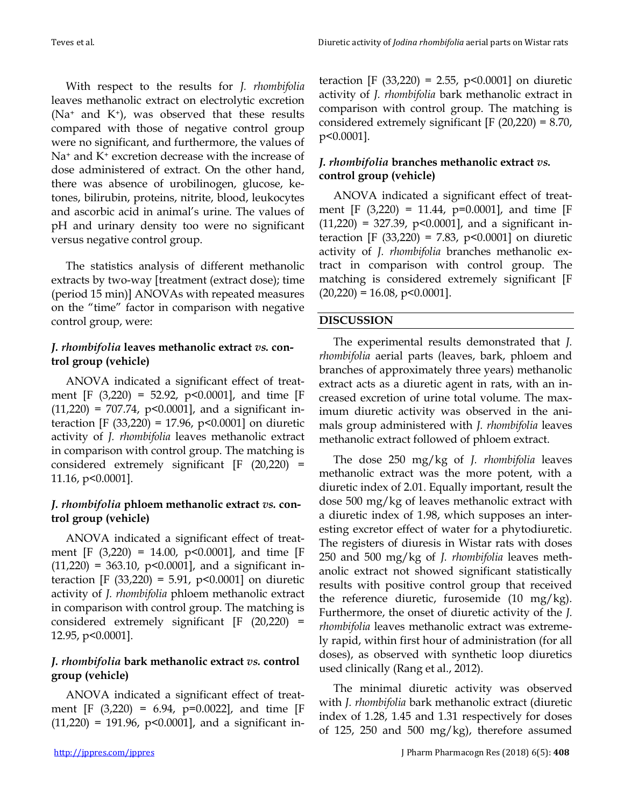With respect to the results for *J. rhombifolia* leaves methanolic extract on electrolytic excretion ( $Na<sup>+</sup>$  and  $K<sup>+</sup>$ ), was observed that these results compared with those of negative control group were no significant, and furthermore, the values of Na<sup>+</sup> and K<sup>+</sup> excretion decrease with the increase of dose administered of extract. On the other hand, there was absence of urobilinogen, glucose, ketones, bilirubin, proteins, nitrite, blood, leukocytes and ascorbic acid in animal's urine. The values of pH and urinary density too were no significant versus negative control group.

The statistics analysis of different methanolic extracts by two-way [treatment (extract dose); time (period 15 min)] ANOVAs with repeated measures on the "time" factor in comparison with negative control group, were:

# *J. rhombifolia* **leaves methanolic extract** *vs.* **control group (vehicle)**

ANOVA indicated a significant effect of treatment [F (3,220) = 52.92, p<0.0001], and time [F  $(11,220) = 707.74$ , p<0.0001], and a significant interaction [F (33,220) = 17.96, p<0.0001] on diuretic activity of *J. rhombifolia* leaves methanolic extract in comparison with control group. The matching is considered extremely significant [F (20,220) = 11.16, p<0.0001].

# *J. rhombifolia* **phloem methanolic extract** *vs.* **control group (vehicle)**

ANOVA indicated a significant effect of treatment  $[F (3,220) = 14.00, p<0.0001]$ , and time  $[F$  $(11,220) = 363.10$ , p<0.0001], and a significant interaction [F (33,220) = 5.91, p<0.0001] on diuretic activity of *J. rhombifolia* phloem methanolic extract in comparison with control group. The matching is considered extremely significant [F (20,220) = 12.95, p<0.0001].

# *J. rhombifolia* **bark methanolic extract** *vs.* **control group (vehicle)**

ANOVA indicated a significant effect of treatment [F (3,220) = 6.94, p=0.0022], and time [F  $(11,220) = 191.96$ ,  $p<0.0001$ , and a significant interaction [F (33,220) = 2.55, p<0.0001] on diuretic activity of *J. rhombifolia* bark methanolic extract in comparison with control group. The matching is considered extremely significant  $[F (20,220) = 8.70,$ p<0.0001].

# *J. rhombifolia* **branches methanolic extract** *vs.* **control group (vehicle)**

ANOVA indicated a significant effect of treatment  $[F (3,220) = 11.44, p=0.0001]$ , and time  $[F$  $(11,220) = 327.39$ , p<0.0001], and a significant interaction [F (33,220) = 7.83,  $p$ <0.0001] on diuretic activity of *J. rhombifolia* branches methanolic extract in comparison with control group. The matching is considered extremely significant [F  $(20,220) = 16.08$ , p<0.0001].

### **DISCUSSION**

The experimental results demonstrated that *J. rhombifolia* aerial parts (leaves, bark, phloem and branches of approximately three years) methanolic extract acts as a diuretic agent in rats, with an increased excretion of urine total volume. The maximum diuretic activity was observed in the animals group administered with *J. rhombifolia* leaves methanolic extract followed of phloem extract.

The dose 250 mg/kg of *J. rhombifolia* leaves methanolic extract was the more potent, with a diuretic index of 2.01. Equally important, result the dose 500 mg/kg of leaves methanolic extract with a diuretic index of 1.98, which supposes an interesting excretor effect of water for a phytodiuretic. The registers of diuresis in Wistar rats with doses 250 and 500 mg/kg of *J. rhombifolia* leaves methanolic extract not showed significant statistically results with positive control group that received the reference diuretic, furosemide (10 mg/kg). Furthermore, the onset of diuretic activity of the *J. rhombifolia* leaves methanolic extract was extremely rapid, within first hour of administration (for all doses), as observed with synthetic loop diuretics used clinically (Rang et al., 2012).

The minimal diuretic activity was observed with *J. rhombifolia* bark methanolic extract (diuretic index of 1.28, 1.45 and 1.31 respectively for doses of 125, 250 and 500 mg/kg), therefore assumed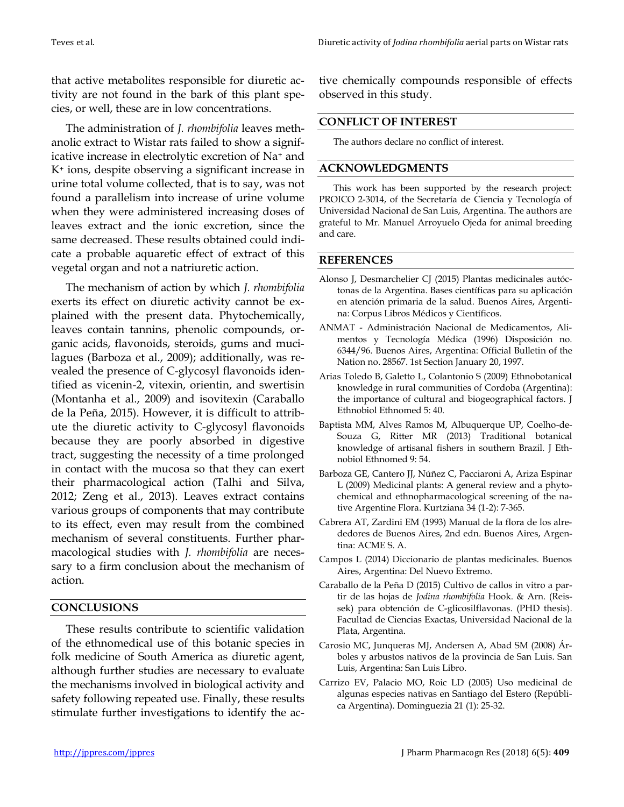that active metabolites responsible for diuretic activity are not found in the bark of this plant species, or well, these are in low concentrations.

The administration of *J. rhombifolia* leaves methanolic extract to Wistar rats failed to show a significative increase in electrolytic excretion of Na<sup>+</sup> and K<sup>+</sup> ions, despite observing a significant increase in urine total volume collected, that is to say, was not found a parallelism into increase of urine volume when they were administered increasing doses of leaves extract and the ionic excretion, since the same decreased. These results obtained could indicate a probable aquaretic effect of extract of this vegetal organ and not a natriuretic action.

The mechanism of action by which *J. rhombifolia* exerts its effect on diuretic activity cannot be explained with the present data. Phytochemically, leaves contain tannins, phenolic compounds, organic acids, flavonoids, steroids, gums and mucilagues (Barboza et al., 2009); additionally, was revealed the presence of C-glycosyl flavonoids identified as vicenin-2, vitexin, orientin, and swertisin (Montanha et al., 2009) and isovitexin (Caraballo de la Peña, 2015). However, it is difficult to attribute the diuretic activity to C-glycosyl flavonoids because they are poorly absorbed in digestive tract, suggesting the necessity of a time prolonged in contact with the mucosa so that they can exert their pharmacological action (Talhi and Silva, 2012; Zeng et al., 2013). Leaves extract contains various groups of components that may contribute to its effect, even may result from the combined mechanism of several constituents. Further pharmacological studies with *J. rhombifolia* are necessary to a firm conclusion about the mechanism of action.

#### **CONCLUSIONS**

These results contribute to scientific validation of the ethnomedical use of this botanic species in folk medicine of South America as diuretic agent, although further studies are necessary to evaluate the mechanisms involved in biological activity and safety following repeated use. Finally, these results stimulate further investigations to identify the active chemically compounds responsible of effects observed in this study.

#### **CONFLICT OF INTEREST**

The authors declare no conflict of interest.

#### **ACKNOWLEDGMENTS**

This work has been supported by the research project: PROICO 2-3014, of the Secretaría de Ciencia y Tecnología of Universidad Nacional de San Luis, Argentina. The authors are grateful to Mr. Manuel Arroyuelo Ojeda for animal breeding and care.

#### **REFERENCES**

- Alonso J, Desmarchelier CJ (2015) Plantas medicinales autóctonas de la Argentina. Bases científicas para su aplicación en atención primaria de la salud. Buenos Aires, Argentina: Corpus Libros Médicos y Científicos.
- ANMAT Administración Nacional de Medicamentos, Alimentos y Tecnología Médica (1996) Disposición no. 6344/96. Buenos Aires, Argentina: Official Bulletin of the Nation no. 28567. 1st Section January 20, 1997.
- Arias Toledo B, Galetto L, Colantonio S (2009) Ethnobotanical knowledge in rural communities of Cordoba (Argentina): the importance of cultural and biogeographical factors. J Ethnobiol Ethnomed 5: 40.
- Baptista MM, Alves Ramos M, Albuquerque UP, Coelho-de-Souza G, Ritter MR (2013) Traditional botanical knowledge of artisanal fishers in southern Brazil. J Ethnobiol Ethnomed 9: 54.
- Barboza GE, Cantero JJ, Núñez C, Pacciaroni A, Ariza Espinar L (2009) Medicinal plants: A general review and a phytochemical and ethnopharmacological screening of the native Argentine Flora. Kurtziana 34 (1-2): 7-365.
- Cabrera AT, Zardini EM (1993) Manual de la flora de los alrededores de Buenos Aires, 2nd edn. Buenos Aires, Argentina: ACME S. A.
- Campos L (2014) Diccionario de plantas medicinales. Buenos Aires, Argentina: Del Nuevo Extremo.
- Caraballo de la Peña D (2015) Cultivo de callos in vitro a partir de las hojas de *Jodina rhombifolia* Hook. & Arn. (Reissek) para obtención de C-glicosilflavonas. (PHD thesis). Facultad de Ciencias Exactas, Universidad Nacional de la Plata, Argentina.
- Carosio MC, Junqueras MJ, Andersen A, Abad SM (2008) Árboles y arbustos nativos de la provincia de San Luis. San Luis, Argentina: San Luis Libro.
- Carrizo EV, Palacio MO, Roic LD (2005) Uso medicinal de algunas especies nativas en Santiago del Estero (República Argentina). Dominguezia 21 (1): 25-32.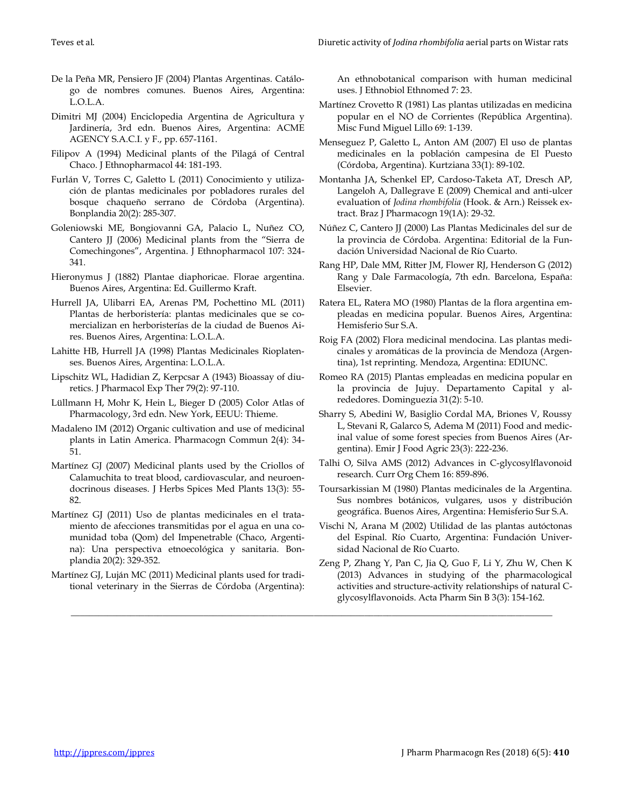- De la Peña MR, Pensiero JF (2004) Plantas Argentinas. Catálogo de nombres comunes. Buenos Aires, Argentina: L.O.L.A.
- Dimitri MJ (2004) Enciclopedia Argentina de Agricultura y Jardinería, 3rd edn. Buenos Aires, Argentina: ACME AGENCY S.A.C.I. y F., pp. 657-1161.
- Filipov A (1994) Medicinal plants of the Pilagá of Central Chaco. J Ethnopharmacol 44: 181-193.
- Furlán V, Torres C, Galetto L (2011) Conocimiento y utilización de plantas medicinales por pobladores rurales del bosque chaqueño serrano de Córdoba (Argentina). Bonplandia 20(2): 285-307.
- Goleniowski ME, Bongiovanni GA, Palacio L, Nuñez CO, Cantero JJ (2006) Medicinal plants from the "Sierra de Comechingones", Argentina. J Ethnopharmacol 107: 324- 341.
- Hieronymus J (1882) Plantae diaphoricae. Florae argentina. Buenos Aires, Argentina: Ed. Guillermo Kraft.
- Hurrell JA, Ulibarri EA, Arenas PM, Pochettino ML (2011) Plantas de herboristería: plantas medicinales que se comercializan en herboristerías de la ciudad de Buenos Aires. Buenos Aires, Argentina: L.O.L.A.
- Lahitte HB, Hurrell JA (1998) Plantas Medicinales Rioplatenses. Buenos Aires, Argentina: L.O.L.A.
- Lipschitz WL, Hadidian Z, Kerpcsar A (1943) Bioassay of diuretics. J Pharmacol Exp Ther 79(2): 97-110.
- Lüllmann H, Mohr K, Hein L, Bieger D (2005) Color Atlas of Pharmacology, 3rd edn. New York, EEUU: Thieme.
- Madaleno IM (2012) Organic cultivation and use of medicinal plants in Latin America. Pharmacogn Commun 2(4): 34- 51.
- Martínez GJ (2007) Medicinal plants used by the Criollos of Calamuchita to treat blood, cardiovascular, and neuroendocrinous diseases. J Herbs Spices Med Plants 13(3): 55- 82.
- Martínez GJ (2011) Uso de plantas medicinales en el tratamiento de afecciones transmitidas por el agua en una comunidad toba (Qom) del Impenetrable (Chaco, Argentina): Una perspectiva etnoecológica y sanitaria. Bonplandia 20(2): 329-352.
- Martínez GJ, Luján MC (2011) Medicinal plants used for traditional veterinary in the Sierras de Córdoba (Argentina):

\_\_\_\_\_\_\_\_\_\_\_\_\_\_\_\_\_\_\_\_\_\_\_\_\_\_\_\_\_\_\_\_\_\_\_\_\_\_\_\_\_\_\_\_\_\_\_\_\_\_\_\_\_\_\_\_\_\_\_\_\_\_\_\_\_\_\_\_\_\_\_\_\_\_\_\_\_\_\_\_\_\_\_\_\_\_\_\_\_\_\_\_\_\_\_\_\_\_\_\_\_\_\_\_\_

An ethnobotanical comparison with human medicinal uses. J Ethnobiol Ethnomed 7: 23.

- Martínez Crovetto R (1981) Las plantas utilizadas en medicina popular en el NO de Corrientes (República Argentina). Misc Fund Miguel Lillo 69: 1-139.
- Menseguez P, Galetto L, Anton AM (2007) El uso de plantas medicinales en la población campesina de El Puesto (Córdoba, Argentina). Kurtziana 33(1): 89-102.
- Montanha JA, Schenkel EP, Cardoso-Taketa AT, Dresch AP, Langeloh A, Dallegrave E (2009) Chemical and anti-ulcer evaluation of *Jodina rhombifolia* (Hook. & Arn.) Reissek extract. Braz J Pharmacogn 19(1A): 29-32.
- Núñez C, Cantero JJ (2000) Las Plantas Medicinales del sur de la provincia de Córdoba. Argentina: Editorial de la Fundación Universidad Nacional de Río Cuarto.
- Rang HP, Dale MM, Ritter JM, Flower RJ, Henderson G (2012) Rang y Dale Farmacología, 7th edn. Barcelona, España: Elsevier.
- Ratera EL, Ratera MO (1980) Plantas de la flora argentina empleadas en medicina popular. Buenos Aires, Argentina: Hemisferio Sur S.A.
- Roig FA (2002) Flora medicinal mendocina. Las plantas medicinales y aromáticas de la provincia de Mendoza (Argentina), 1st reprinting. Mendoza, Argentina: EDIUNC.
- Romeo RA (2015) Plantas empleadas en medicina popular en la provincia de Jujuy. Departamento Capital y alrededores. Dominguezia 31(2): 5-10.
- Sharry S, Abedini W, Basiglio Cordal MA, Briones V, Roussy L, Stevani R, Galarco S, Adema M (2011) Food and medicinal value of some forest species from Buenos Aires (Argentina). Emir J Food Agric 23(3): 222-236.
- Talhi O, Silva AMS (2012) Advances in C-glycosylflavonoid research. Curr Org Chem 16: 859-896.
- Toursarkissian M (1980) Plantas medicinales de la Argentina. Sus nombres botánicos, vulgares, usos y distribución geográfica. Buenos Aires, Argentina: Hemisferio Sur S.A.
- Vischi N, Arana M (2002) Utilidad de las plantas autóctonas del Espinal. Río Cuarto, Argentina: Fundación Universidad Nacional de Río Cuarto.
- Zeng P, Zhang Y, Pan C, Jia Q, Guo F, Li Y, Zhu W, Chen K (2013) Advances in studying of the pharmacological activities and structure-activity relationships of natural Cglycosylflavonoids. Acta Pharm Sin B 3(3): 154-162.